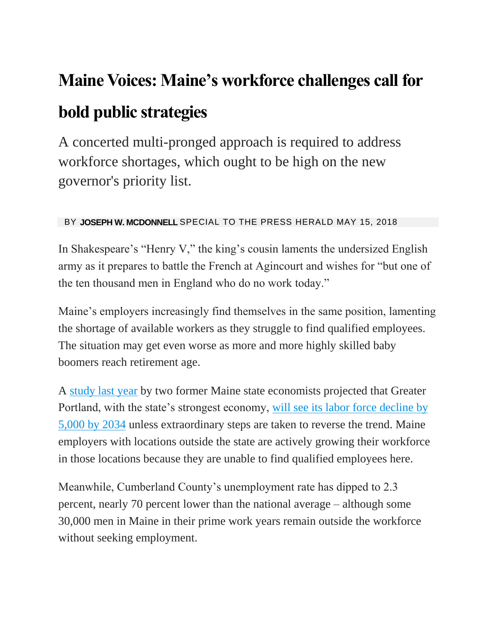## **Maine Voices: Maine's workforce challenges call for**

## **bold public strategies**

A concerted multi-pronged approach is required to address workforce shortages, which ought to be high on the new governor's priority list.

## BY **JOSEPH W. MCDONNELL** SPECIAL TO THE PRESS HERALD MAY 15, 2018

In Shakespeare's "Henry V," the king's cousin laments the undersized English army as it prepares to battle the French at Agincourt and wishes for "but one of the ten thousand men in England who do no work today."

Maine's employers increasingly find themselves in the same position, lamenting the shortage of available workers as they struggle to find qualified employees. The situation may get even worse as more and more highly skilled baby boomers reach retirement age.

A [study last year](http://www.portlandregion.com/uploads/2/5/8/0/25808280/greater_portland_tomorrow_final_0912.pdf) by two former Maine state economists projected that Greater Portland, with the state's strongest economy, [will see its labor force decline by](http://www.portlandregion.com/uploads/2/5/8/0/25808280/greater_portland_tomorrow_final_0912.pdf#page=5)  [5,000 by 2034](http://www.portlandregion.com/uploads/2/5/8/0/25808280/greater_portland_tomorrow_final_0912.pdf#page=5) unless extraordinary steps are taken to reverse the trend. Maine employers with locations outside the state are actively growing their workforce in those locations because they are unable to find qualified employees here.

Meanwhile, Cumberland County's unemployment rate has dipped to 2.3 percent, nearly 70 percent lower than the national average – although some 30,000 men in Maine in their prime work years remain outside the workforce without seeking employment.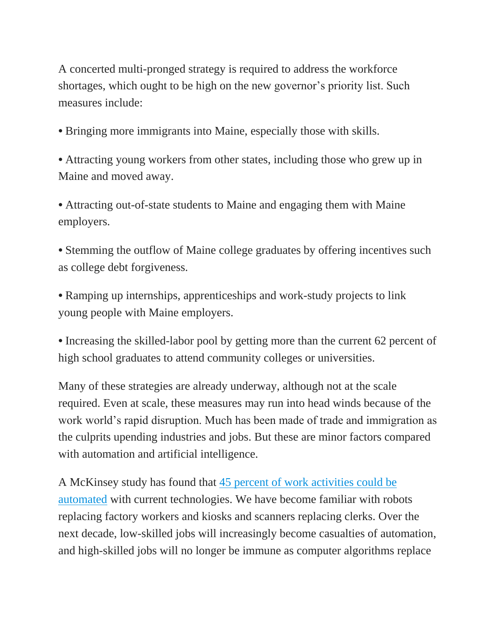A concerted multi-pronged strategy is required to address the workforce shortages, which ought to be high on the new governor's priority list. Such measures include:

*•* Bringing more immigrants into Maine, especially those with skills.

*•* Attracting young workers from other states, including those who grew up in Maine and moved away.

*•* Attracting out-of-state students to Maine and engaging them with Maine employers.

• Stemming the outflow of Maine college graduates by offering incentives such as college debt forgiveness.

*•* Ramping up internships, apprenticeships and work-study projects to link young people with Maine employers.

*•* Increasing the skilled-labor pool by getting more than the current 62 percent of high school graduates to attend community colleges or universities.

Many of these strategies are already underway, although not at the scale required. Even at scale, these measures may run into head winds because of the work world's rapid disruption. Much has been made of trade and immigration as the culprits upending industries and jobs. But these are minor factors compared with automation and artificial intelligence.

A McKinsey study has found that [45 percent of work activities could be](https://www.mckinsey.com/business-functions/digital-mckinsey/our-insights/four-fundamentals-of-workplace-automation)  [automated](https://www.mckinsey.com/business-functions/digital-mckinsey/our-insights/four-fundamentals-of-workplace-automation) with current technologies. We have become familiar with robots replacing factory workers and kiosks and scanners replacing clerks. Over the next decade, low-skilled jobs will increasingly become casualties of automation, and high-skilled jobs will no longer be immune as computer algorithms replace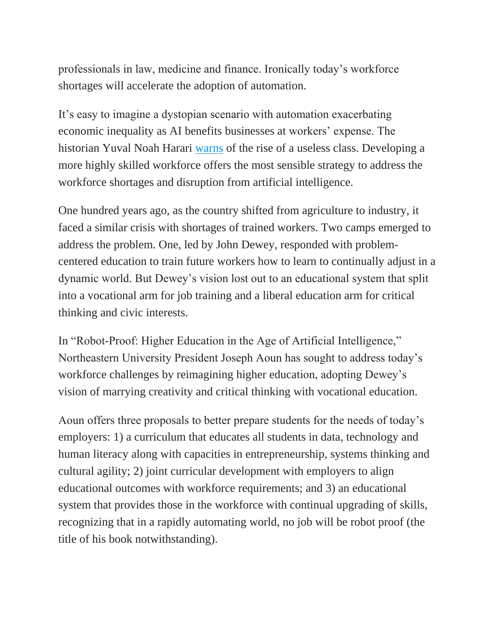professionals in law, medicine and finance. Ironically today's workforce shortages will accelerate the adoption of automation.

It's easy to imagine a dystopian scenario with automation exacerbating economic inequality as AI benefits businesses at workers' expense. The historian Yuval Noah Harari [warns](https://ideas.ted.com/the-rise-of-the-useless-class/) of the rise of a useless class. Developing a more highly skilled workforce offers the most sensible strategy to address the workforce shortages and disruption from artificial intelligence.

One hundred years ago, as the country shifted from agriculture to industry, it faced a similar crisis with shortages of trained workers. Two camps emerged to address the problem. One, led by John Dewey, responded with problemcentered education to train future workers how to learn to continually adjust in a dynamic world. But Dewey's vision lost out to an educational system that split into a vocational arm for job training and a liberal education arm for critical thinking and civic interests.

In "Robot-Proof: Higher Education in the Age of Artificial Intelligence," Northeastern University President Joseph Aoun has sought to address today's workforce challenges by reimagining higher education, adopting Dewey's vision of marrying creativity and critical thinking with vocational education.

Aoun offers three proposals to better prepare students for the needs of today's employers: 1) a curriculum that educates all students in data, technology and human literacy along with capacities in entrepreneurship, systems thinking and cultural agility; 2) joint curricular development with employers to align educational outcomes with workforce requirements; and 3) an educational system that provides those in the workforce with continual upgrading of skills, recognizing that in a rapidly automating world, no job will be robot proof (the title of his book notwithstanding).